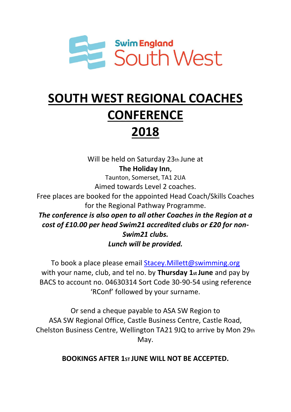

## **SOUTH WEST REGIONAL COACHES CONFERENCE**

## **2018**

Will be held on Saturday 23th June at **The Holiday Inn**,

Taunton, Somerset, TA1 2UA

Aimed towards Level 2 coaches.

Free places are booked for the appointed Head Coach/Skills Coaches for the Regional Pathway Programme.

*The conference is also open to all other Coaches in the Region at a cost of £10.00 per head Swim21 accredited clubs or £20 for non-Swim21 clubs. Lunch will be provided.*

To book a place please email Stacey. Millett@swimming.org with your name, club, and tel no. by **Thursday 1st June** and pay by BACS to account no. 04630314 Sort Code 30-90-54 using reference 'RConf' followed by your surname.

Or send a cheque payable to ASA SW Region to ASA SW Regional Office, Castle Business Centre, Castle Road, Chelston Business Centre, Wellington TA21 9JQ to arrive by Mon 29th May.

**BOOKINGS AFTER 1ST JUNE WILL NOT BE ACCEPTED.**